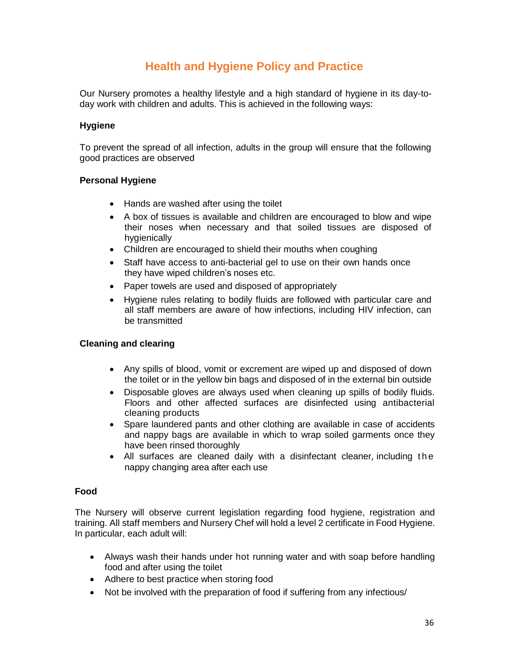# **Health and Hygiene Policy and Practice**

Our Nursery promotes a healthy lifestyle and a high standard of hygiene in its day-today work with children and adults. This is achieved in the following ways:

# **Hygiene**

To prevent the spread of all infection, adults in the group will ensure that the following good practices are observed

# **Personal Hygiene**

- Hands are washed after using the toilet
- A box of tissues is available and children are encouraged to blow and wipe their noses when necessary and that soiled tissues are disposed of hygienically
- Children are encouraged to shield their mouths when coughing
- Staff have access to anti-bacterial gel to use on their own hands once they have wiped children's noses etc.
- Paper towels are used and disposed of appropriately
- Hygiene rules relating to bodily fluids are followed with particular care and all staff members are aware of how infections, including HIV infection, can be transmitted

# **Cleaning and clearing**

- Any spills of blood, vomit or excrement are wiped up and disposed of down the toilet or in the yellow bin bags and disposed of in the external bin outside
- Disposable gloves are always used when cleaning up spills of bodily fluids. Floors and other affected surfaces are disinfected using antibacterial cleaning products
- Spare laundered pants and other clothing are available in case of accidents and nappy bags are available in which to wrap soiled garments once they have been rinsed thoroughly
- All surfaces are cleaned daily with a disinfectant cleaner, including the nappy changing area after each use

#### **Food**

The Nursery will observe current legislation regarding food hygiene, registration and training. All staff members and Nursery Chef will hold a level 2 certificate in Food Hygiene. In particular, each adult will:

- Always wash their hands under hot running water and with soap before handling food and after using the toilet
- Adhere to best practice when storing food
- Not be involved with the preparation of food if suffering from any infectious/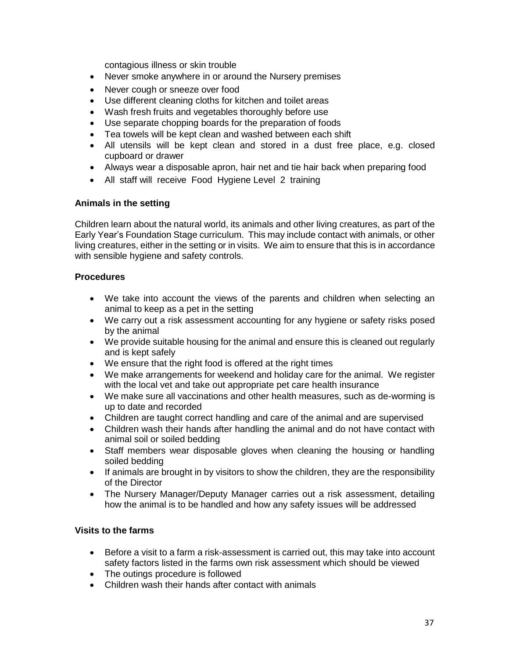contagious illness or skin trouble

- Never smoke anywhere in or around the Nursery premises
- Never cough or sneeze over food
- Use different cleaning cloths for kitchen and toilet areas
- Wash fresh fruits and vegetables thoroughly before use
- Use separate chopping boards for the preparation of foods
- Tea towels will be kept clean and washed between each shift
- All utensils will be kept clean and stored in a dust free place, e.g. closed cupboard or drawer
- Always wear a disposable apron, hair net and tie hair back when preparing food
- All staff will receive Food Hygiene Level 2 training

#### **Animals in the setting**

Children learn about the natural world, its animals and other living creatures, as part of the Early Year's Foundation Stage curriculum. This may include contact with animals, or other living creatures, either in the setting or in visits. We aim to ensure that this is in accordance with sensible hygiene and safety controls.

#### **Procedures**

- We take into account the views of the parents and children when selecting an animal to keep as a pet in the setting
- We carry out a risk assessment accounting for any hygiene or safety risks posed by the animal
- We provide suitable housing for the animal and ensure this is cleaned out regularly and is kept safely
- We ensure that the right food is offered at the right times
- We make arrangements for weekend and holiday care for the animal. We register with the local vet and take out appropriate pet care health insurance
- We make sure all vaccinations and other health measures, such as de-worming is up to date and recorded
- Children are taught correct handling and care of the animal and are supervised
- Children wash their hands after handling the animal and do not have contact with animal soil or soiled bedding
- Staff members wear disposable gloves when cleaning the housing or handling soiled bedding
- If animals are brought in by visitors to show the children, they are the responsibility of the Director
- The Nursery Manager/Deputy Manager carries out a risk assessment, detailing how the animal is to be handled and how any safety issues will be addressed

# **Visits to the farms**

- Before a visit to a farm a risk-assessment is carried out, this may take into account safety factors listed in the farms own risk assessment which should be viewed
- The outings procedure is followed
- Children wash their hands after contact with animals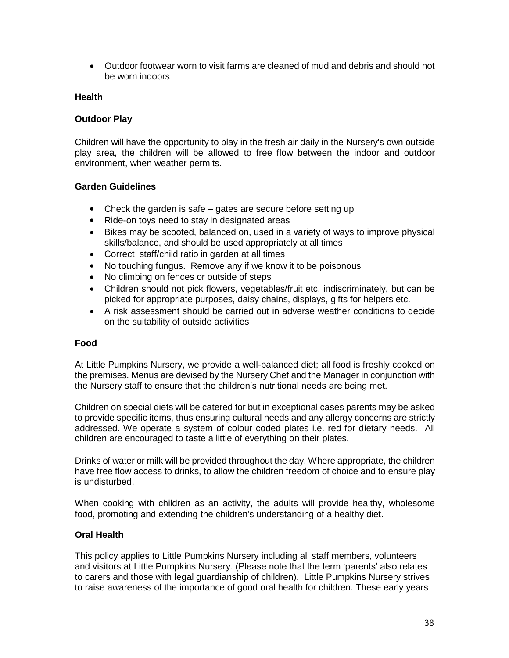Outdoor footwear worn to visit farms are cleaned of mud and debris and should not be worn indoors

#### **Health**

# **Outdoor Play**

Children will have the opportunity to play in the fresh air daily in the Nursery's own outside play area, the children will be allowed to free flow between the indoor and outdoor environment, when weather permits.

#### **Garden Guidelines**

- Check the garden is safe gates are secure before setting up
- Ride-on toys need to stay in designated areas
- Bikes may be scooted, balanced on, used in a variety of ways to improve physical skills/balance, and should be used appropriately at all times
- Correct staff/child ratio in garden at all times
- No touching fungus. Remove any if we know it to be poisonous
- No climbing on fences or outside of steps
- Children should not pick flowers, vegetables/fruit etc. indiscriminately, but can be picked for appropriate purposes, daisy chains, displays, gifts for helpers etc.
- A risk assessment should be carried out in adverse weather conditions to decide on the suitability of outside activities

#### **Food**

At Little Pumpkins Nursery, we provide a well-balanced diet; all food is freshly cooked on the premises. Menus are devised by the Nursery Chef and the Manager in conjunction with the Nursery staff to ensure that the children's nutritional needs are being met.

Children on special diets will be catered for but in exceptional cases parents may be asked to provide specific items, thus ensuring cultural needs and any allergy concerns are strictly addressed. We operate a system of colour coded plates i.e. red for dietary needs. All children are encouraged to taste a little of everything on their plates.

Drinks of water or milk will be provided throughout the day. Where appropriate, the children have free flow access to drinks, to allow the children freedom of choice and to ensure play is undisturbed.

When cooking with children as an activity, the adults will provide healthy, wholesome food, promoting and extending the children's understanding of a healthy diet.

#### **Oral Health**

This policy applies to Little Pumpkins Nursery including all staff members, volunteers and visitors at Little Pumpkins Nursery. (Please note that the term 'parents' also relates to carers and those with legal guardianship of children). Little Pumpkins Nursery strives to raise awareness of the importance of good oral health for children. These early years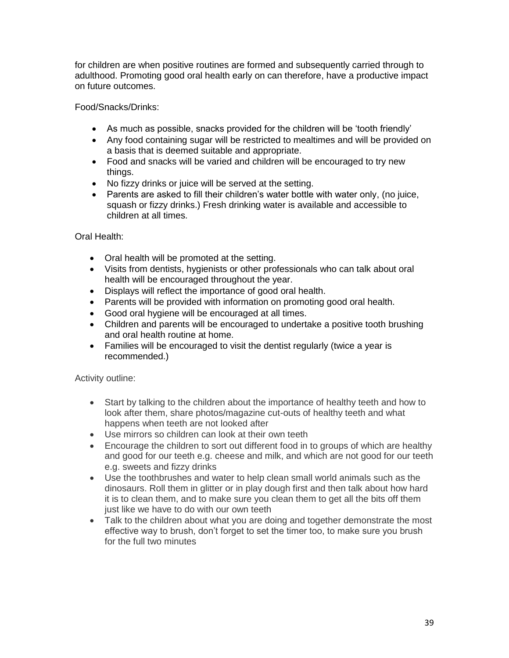for children are when positive routines are formed and subsequently carried through to adulthood. Promoting good oral health early on can therefore, have a productive impact on future outcomes.

Food/Snacks/Drinks:

- As much as possible, snacks provided for the children will be 'tooth friendly'
- Any food containing sugar will be restricted to mealtimes and will be provided on a basis that is deemed suitable and appropriate.
- Food and snacks will be varied and children will be encouraged to try new things.
- No fizzy drinks or juice will be served at the setting.
- Parents are asked to fill their children's water bottle with water only, (no juice, squash or fizzy drinks.) Fresh drinking water is available and accessible to children at all times.

Oral Health:

- Oral health will be promoted at the setting.
- Visits from dentists, hygienists or other professionals who can talk about oral health will be encouraged throughout the year.
- Displays will reflect the importance of good oral health.
- Parents will be provided with information on promoting good oral health.
- Good oral hygiene will be encouraged at all times.
- Children and parents will be encouraged to undertake a positive tooth brushing and oral health routine at home.
- Families will be encouraged to visit the dentist regularly (twice a year is recommended.)

Activity outline:

- Start by talking to the children about the importance of healthy teeth and how to look after them, share photos/magazine cut-outs of healthy teeth and what happens when teeth are not looked after
- Use mirrors so children can look at their own teeth
- Encourage the children to sort out different food in to groups of which are healthy and good for our teeth e.g. cheese and milk, and which are not good for our teeth e.g. sweets and fizzy drinks
- Use the toothbrushes and water to help clean small world animals such as the dinosaurs. Roll them in glitter or in play dough first and then talk about how hard it is to clean them, and to make sure you clean them to get all the bits off them just like we have to do with our own teeth
- Talk to the children about what you are doing and together demonstrate the most effective way to brush, don't forget to set the timer too, to make sure you brush for the full two minutes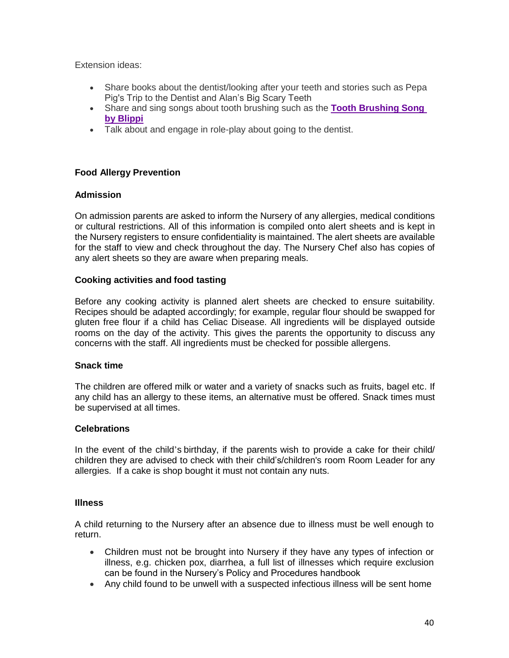Extension ideas:

- Share books about the dentist/looking after your teeth and stories such as Pepa Pig's Trip to the Dentist and Alan's Big Scary Teeth
- Share and sing songs about tooth brushing such as the **[Tooth Brushing Song](https://www.youtube.com/watch?v=Ku-ForS6G3I)  [by Blippi](https://www.youtube.com/watch?v=Ku-ForS6G3I)**
- Talk about and engage in role-play about going to the dentist.

# **Food Allergy Prevention**

#### **Admission**

On admission parents are asked to inform the Nursery of any allergies, medical conditions or cultural restrictions. All of this information is compiled onto alert sheets and is kept in the Nursery registers to ensure confidentiality is maintained. The alert sheets are available for the staff to view and check throughout the day. The Nursery Chef also has copies of any alert sheets so they are aware when preparing meals.

#### **Cooking activities and food tasting**

Before any cooking activity is planned alert sheets are checked to ensure suitability. Recipes should be adapted accordingly; for example, regular flour should be swapped for gluten free flour if a child has Celiac Disease. All ingredients will be displayed outside rooms on the day of the activity. This gives the parents the opportunity to discuss any concerns with the staff. All ingredients must be checked for possible allergens.

# **Snack time**

The children are offered milk or water and a variety of snacks such as fruits, bagel etc. If any child has an allergy to these items, an alternative must be offered. Snack times must be supervised at all times.

#### **Celebrations**

 allergies. If a cake is shop bought it must not contain any nuts. In the event of the child's birthday, if the parents wish to provide a cake for their child/ children they are advised to check with their child's/children's room Room Leader for any

#### **Illness**

A child returning to the Nursery after an absence due to illness must be well enough to return.

- Children must not be brought into Nursery if they have any types of infection or illness, e.g. chicken pox, diarrhea, a full list of illnesses which require exclusion can be found in the Nursery's Policy and Procedures handbook
- Any child found to be unwell with a suspected infectious illness will be sent home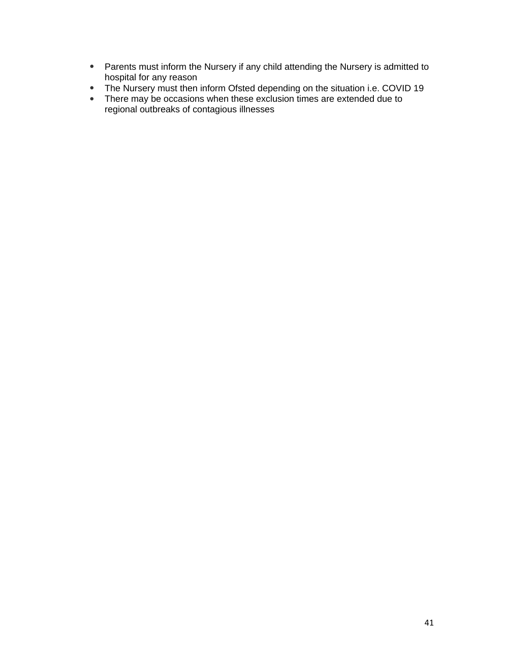- Parents must inform the Nursery if any child attending the Nursery is admitted to hospital for any reason
- The Nursery must then inform Ofsted depending on the situation i.e. COVID 19  $\bullet$
- There may be occasions when these exclusion times are extended due to regional outbreaks of contagious illnesses  $\bullet$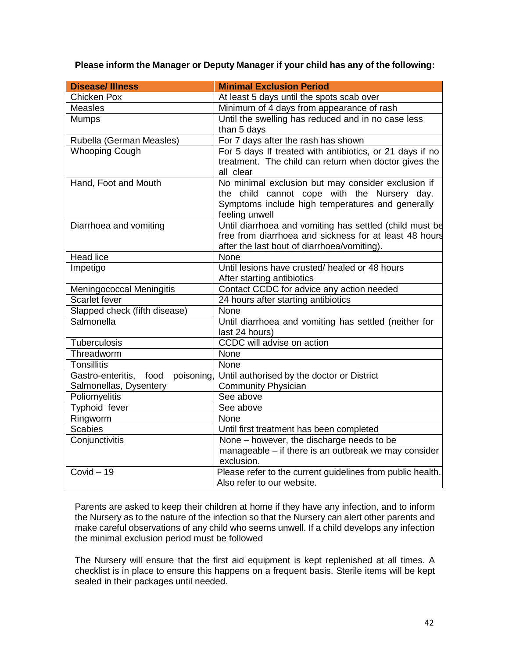**Please inform the Manager or Deputy Manager if your child has any of the following:**

| <b>Disease/Illness</b>               | <b>Minimal Exclusion Period</b>                                                                                                                                         |
|--------------------------------------|-------------------------------------------------------------------------------------------------------------------------------------------------------------------------|
| Chicken Pox                          | At least 5 days until the spots scab over                                                                                                                               |
| <b>Measles</b>                       | Minimum of 4 days from appearance of rash                                                                                                                               |
| <b>Mumps</b>                         | Until the swelling has reduced and in no case less                                                                                                                      |
|                                      | than 5 days                                                                                                                                                             |
| Rubella (German Measles)             | For 7 days after the rash has shown                                                                                                                                     |
| <b>Whooping Cough</b>                | For 5 days If treated with antibiotics, or 21 days if no<br>treatment. The child can return when doctor gives the<br>all clear                                          |
| Hand, Foot and Mouth                 | No minimal exclusion but may consider exclusion if<br>the child cannot cope with the Nursery day.<br>Symptoms include high temperatures and generally<br>feeling unwell |
| Diarrhoea and vomiting               | Until diarrhoea and vomiting has settled (child must be<br>free from diarrhoea and sickness for at least 48 hours<br>after the last bout of diarrhoea/vomiting).        |
| <b>Head lice</b>                     | None                                                                                                                                                                    |
| Impetigo                             | Until lesions have crusted/ healed or 48 hours<br>After starting antibiotics                                                                                            |
| Meningococcal Meningitis             | Contact CCDC for advice any action needed                                                                                                                               |
| Scarlet fever                        | 24 hours after starting antibiotics                                                                                                                                     |
| Slapped check (fifth disease)        | None                                                                                                                                                                    |
| Salmonella                           | Until diarrhoea and vomiting has settled (neither for<br>last 24 hours)                                                                                                 |
| Tuberculosis                         | CCDC will advise on action                                                                                                                                              |
| Threadworm                           | None                                                                                                                                                                    |
| <b>Tonsillitis</b>                   | None                                                                                                                                                                    |
| Gastro-enteritis, food<br>poisoning, | Until authorised by the doctor or District                                                                                                                              |
| Salmonellas, Dysentery               | <b>Community Physician</b>                                                                                                                                              |
| Poliomyelitis                        | See above                                                                                                                                                               |
| Typhoid fever                        | See above                                                                                                                                                               |
| Ringworm                             | None                                                                                                                                                                    |
| <b>Scabies</b>                       | Until first treatment has been completed                                                                                                                                |
| Conjunctivitis                       | None - however, the discharge needs to be<br>manageable – if there is an outbreak we may consider<br>exclusion.                                                         |
| $Covid - 19$                         | Please refer to the current guidelines from public health.<br>Also refer to our website.                                                                                |

Parents are asked to keep their children at home if they have any infection, and to inform the Nursery as to the nature of the infection so that the Nursery can alert other parents and make careful observations of any child who seems unwell. If a child develops any infection the minimal exclusion period must be followed

The Nursery will ensure that the first aid equipment is kept replenished at all times. A checklist is in place to ensure this happens on a frequent basis. Sterile items will be kept sealed in their packages until needed.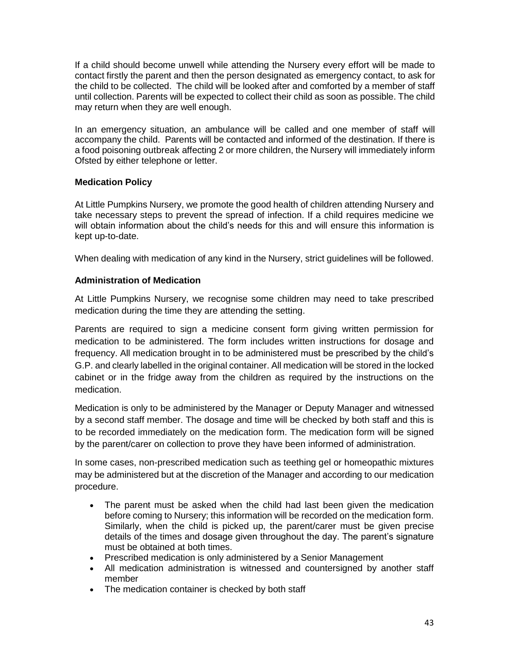If a child should become unwell while attending the Nursery every effort will be made to contact firstly the parent and then the person designated as emergency contact, to ask for the child to be collected. The child will be looked after and comforted by a member of staff until collection. Parents will be expected to collect their child as soon as possible. The child may return when they are well enough.

In an emergency situation, an ambulance will be called and one member of staff will accompany the child. Parents will be contacted and informed of the destination. If there is a food poisoning outbreak affecting 2 or more children, the Nursery will immediately inform Ofsted by either telephone or letter.

# **Medication Policy**

At Little Pumpkins Nursery, we promote the good health of children attending Nursery and take necessary steps to prevent the spread of infection. If a child requires medicine we will obtain information about the child's needs for this and will ensure this information is kept up-to-date.

When dealing with medication of any kind in the Nursery, strict guidelines will be followed.

# **Administration of Medication**

At Little Pumpkins Nursery, we recognise some children may need to take prescribed medication during the time they are attending the setting.

Parents are required to sign a medicine consent form giving written permission for medication to be administered. The form includes written instructions for dosage and frequency. All medication brought in to be administered must be prescribed by the child's G.P. and clearly labelled in the original container. All medication will be stored in the locked cabinet or in the fridge away from the children as required by the instructions on the medication.

Medication is only to be administered by the Manager or Deputy Manager and witnessed by a second staff member. The dosage and time will be checked by both staff and this is to be recorded immediately on the medication form. The medication form will be signed by the parent/carer on collection to prove they have been informed of administration.

In some cases, non-prescribed medication such as teething gel or homeopathic mixtures may be administered but at the discretion of the Manager and according to our medication procedure.

- The parent must be asked when the child had last been given the medication before coming to Nursery; this information will be recorded on the medication form. Similarly, when the child is picked up, the parent/carer must be given precise details of the times and dosage given throughout the day. The parent's signature must be obtained at both times.
- Prescribed medication is only administered by a Senior Management
- All medication administration is witnessed and countersigned by another staff member
- The medication container is checked by both staff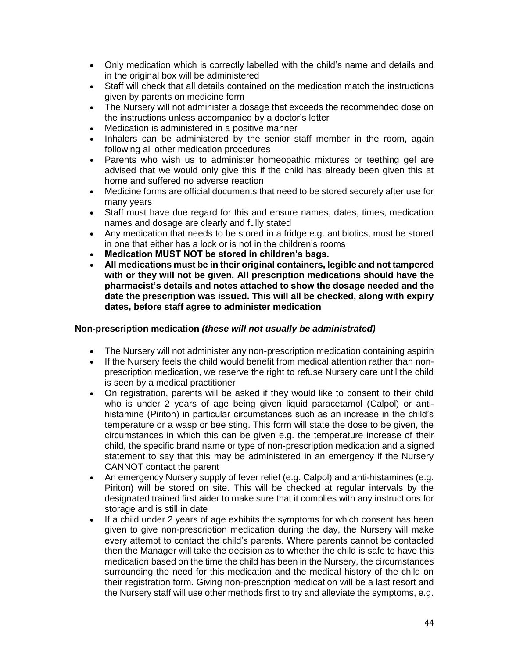- Only medication which is correctly labelled with the child's name and details and in the original box will be administered
- Staff will check that all details contained on the medication match the instructions given by parents on medicine form
- The Nursery will not administer a dosage that exceeds the recommended dose on the instructions unless accompanied by a doctor's letter
- Medication is administered in a positive manner
- Inhalers can be administered by the senior staff member in the room, again following all other medication procedures
- Parents who wish us to administer homeopathic mixtures or teething gel are advised that we would only give this if the child has already been given this at home and suffered no adverse reaction
- Medicine forms are official documents that need to be stored securely after use for many years
- Staff must have due regard for this and ensure names, dates, times, medication names and dosage are clearly and fully stated
- Any medication that needs to be stored in a fridge e.g. antibiotics, must be stored in one that either has a lock or is not in the children's rooms
- **Medication MUST NOT be stored in children's bags.**
- **All medications must be in their original containers, legible and not tampered with or they will not be given. All prescription medications should have the pharmacist's details and notes attached to show the dosage needed and the date the prescription was issued. This will all be checked, along with expiry dates, before staff agree to administer medication**

# **Non-prescription medication** *(these will not usually be administrated)*

- The Nursery will not administer any non-prescription medication containing aspirin
- If the Nursery feels the child would benefit from medical attention rather than nonprescription medication, we reserve the right to refuse Nursery care until the child is seen by a medical practitioner
- On registration, parents will be asked if they would like to consent to their child who is under 2 years of age being given liquid paracetamol (Calpol) or antihistamine (Piriton) in particular circumstances such as an increase in the child's temperature or a wasp or bee sting. This form will state the dose to be given, the circumstances in which this can be given e.g. the temperature increase of their child, the specific brand name or type of non-prescription medication and a signed statement to say that this may be administered in an emergency if the Nursery CANNOT contact the parent
- An emergency Nursery supply of fever relief (e.g. Calpol) and anti-histamines (e.g. Piriton) will be stored on site. This will be checked at regular intervals by the designated trained first aider to make sure that it complies with any instructions for storage and is still in date
- If a child under 2 years of age exhibits the symptoms for which consent has been given to give non-prescription medication during the day, the Nursery will make every attempt to contact the child's parents. Where parents cannot be contacted then the Manager will take the decision as to whether the child is safe to have this medication based on the time the child has been in the Nursery, the circumstances surrounding the need for this medication and the medical history of the child on their registration form. Giving non-prescription medication will be a last resort and the Nursery staff will use other methods first to try and alleviate the symptoms, e.g.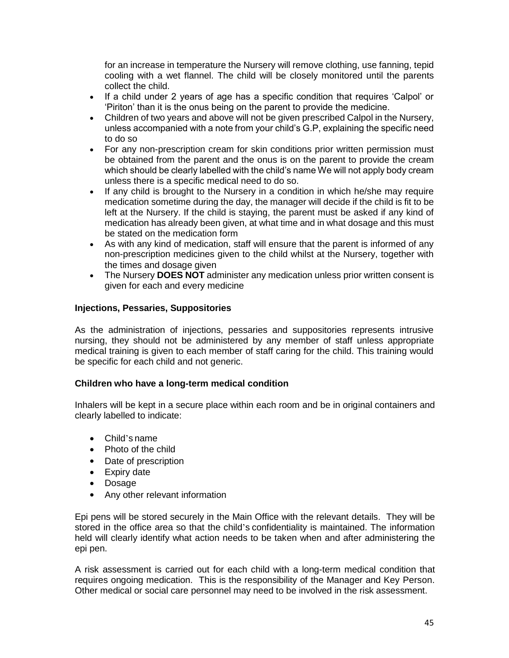for an increase in temperature the Nursery will remove clothing, use fanning, tepid cooling with a wet flannel. The child will be closely monitored until the parents collect the child.

- If a child under 2 years of age has a specific condition that requires 'Calpol' or 'Piriton' than it is the onus being on the parent to provide the medicine.
- Children of two years and above will not be given prescribed Calpol in the Nursery, unless accompanied with a note from your child's G.P, explaining the specific need to do so
- For any non-prescription cream for skin conditions prior written permission must be obtained from the parent and the onus is on the parent to provide the cream which should be clearly labelled with the child's name We will not apply body cream unless there is a specific medical need to do so.
- If any child is brought to the Nursery in a condition in which he/she may require medication sometime during the day, the manager will decide if the child is fit to be left at the Nursery. If the child is staying, the parent must be asked if any kind of medication has already been given, at what time and in what dosage and this must be stated on the medication form
- As with any kind of medication, staff will ensure that the parent is informed of any non-prescription medicines given to the child whilst at the Nursery, together with the times and dosage given
- The Nursery **DOES NOT** administer any medication unless prior written consent is given for each and every medicine

# **Injections, Pessaries, Suppositories**

As the administration of injections, pessaries and suppositories represents intrusive nursing, they should not be administered by any member of staff unless appropriate medical training is given to each member of staff caring for the child. This training would be specific for each child and not generic.

# **Children who have a long-term medical condition**

Inhalers will be kept in a secure place within each room and be in original containers and clearly labelled to indicate:

- Child's name
- Photo of the child
- Date of prescription
- Expiry date
- Dosage
- Any other relevant information

Epi pens will be stored securely in the Main Office with the relevant details. They will be stored in the office area so that the child's confidentiality is maintained. The information held will clearly identify what action needs to be taken when and after administering the epi pen.

A risk assessment is carried out for each child with a long-term medical condition that requires ongoing medication. This is the responsibility of the Manager and Key Person. Other medical or social care personnel may need to be involved in the risk assessment.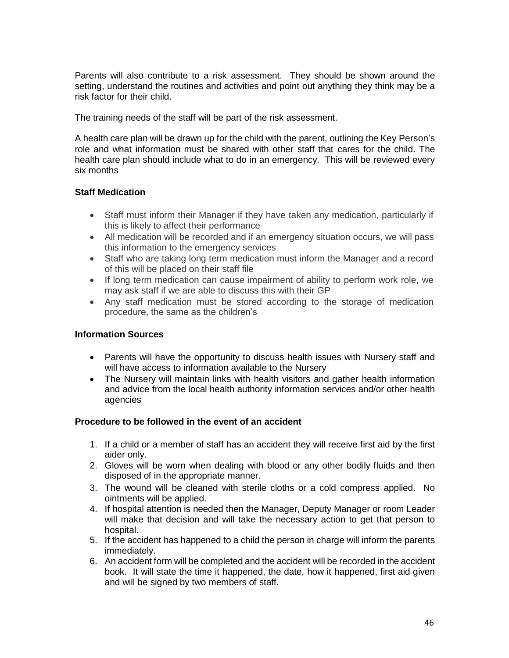Parents will also contribute to a risk assessment. They should be shown around the setting, understand the routines and activities and point out anything they think may be a risk factor for their child.

The training needs of the staff will be part of the risk assessment.

A health care plan will be drawn up for the child with the parent, outlining the Key Person's role and what information must be shared with other staff that cares for the child. The health care plan should include what to do in an emergency. This will be reviewed every six months

# **Staff Medication**

- Staff must inform their Manager if they have taken any medication, particularly if this is likely to affect their performance
- All medication will be recorded and if an emergency situation occurs, we will pass this information to the emergency services
- Staff who are taking long term medication must inform the Manager and a record of this will be placed on their staff file
- If long term medication can cause impairment of ability to perform work role, we may ask staff if we are able to discuss this with their GP
- Any staff medication must be stored according to the storage of medication procedure, the same as the children's

# **Information Sources**

- Parents will have the opportunity to discuss health issues with Nursery staff and will have access to information available to the Nursery
- The Nursery will maintain links with health visitors and gather health information and advice from the local health authority information services and/or other health agencies

# **Procedure to be followed in the event of an accident**

- 1. If a child or a member of staff has an accident they will receive first aid by the first aider only.
- 2. Gloves will be worn when dealing with blood or any other bodily fluids and then disposed of in the appropriate manner.
- 3. The wound will be cleaned with sterile cloths or a cold compress applied. No ointments will be applied.
- 4. If hospital attention is needed then the Manager, Deputy Manager or room Leader will make that decision and will take the necessary action to get that person to hospital.
- 5. If the accident has happened to a child the person in charge will inform the parents immediately.
- 6. An accident form will be completed and the accident will be recorded in the accident book. It will state the time it happened, the date, how it happened, first aid given and will be signed by two members of staff.